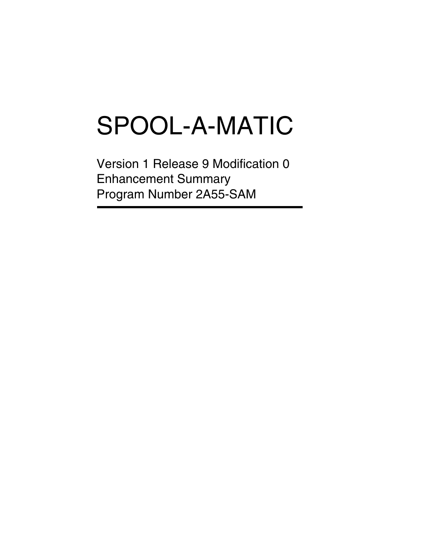# SPOOL-A-MATIC

Version 1 Release 9 Modification 0 Enhancement Summary Program Number 2A55-SAM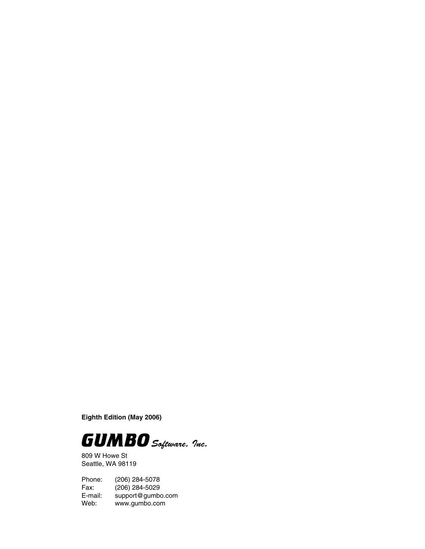**Eighth Edition (May 2006)**



809 W Howe St Seattle, WA 98119

Phone: (206) 284-5078 Fax: (206) 284-5029<br>E-mail: support@gumb E-mail: support@gumbo.com<br>Web: www.gumbo.com www.gumbo.com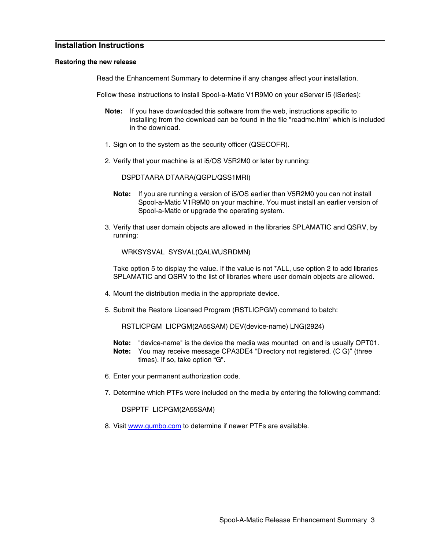# **Installation Instructions**

# **Restoring the new release**

Read the Enhancement Summary to determine if any changes affect your installation.

Follow these instructions to install Spool-a-Matic V1R9M0 on your eServer i5 (iSeries):

- **Note:** If you have downloaded this software from the web, instructions specific to installing from the download can be found in the file "readme.htm" which is included in the download.
- 1. Sign on to the system as the security officer (QSECOFR).
- 2. Verify that your machine is at i5/OS V5R2M0 or later by running:

DSPDTAARA DTAARA(QGPL/QSS1MRI)

- **Note:** If you are running a version of i5/OS earlier than V5R2M0 you can not install Spool-a-Matic V1R9M0 on your machine. You must install an earlier version of Spool-a-Matic or upgrade the operating system.
- 3. Verify that user domain objects are allowed in the libraries SPLAMATIC and QSRV, by running:

WRKSYSVAL SYSVAL(QALWUSRDMN)

Take option 5 to display the value. If the value is not \*ALL, use option 2 to add libraries SPLAMATIC and QSRV to the list of libraries where user domain objects are allowed.

- 4. Mount the distribution media in the appropriate device.
- 5. Submit the Restore Licensed Program (RSTLICPGM) command to batch:

RSTLICPGM LICPGM(2A55SAM) DEV(device-name) LNG(2924)

- **Note:** "device-name" is the device the media was mounted on and is usually OPT01. **Note:** You may receive message CPA3DE4 "Directory not registered. (C G)" (three times). If so, take option "G".
- 6. Enter your permanent authorization code.
- 7. Determine which PTFs were included on the media by entering the following command:

DSPPTF LICPGM(2A55SAM)

8. Visit www.gumbo.com to determine if newer PTFs are available.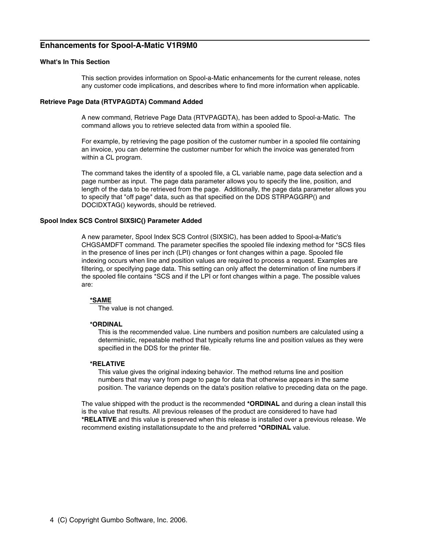# **Enhancements for Spool-A-Matic V1R9M0**

#### **What's In This Section**

This section provides information on Spool-a-Matic enhancements for the current release, notes any customer code implications, and describes where to find more information when applicable.

#### **Retrieve Page Data (RTVPAGDTA) Command Added**

A new command, Retrieve Page Data (RTVPAGDTA), has been added to Spool-a-Matic. The command allows you to retrieve selected data from within a spooled file.

For example, by retrieving the page position of the customer number in a spooled file containing an invoice, you can determine the customer number for which the invoice was generated from within a CL program.

The command takes the identity of a spooled file, a CL variable name, page data selection and a page number as input. The page data parameter allows you to specify the line, position, and length of the data to be retrieved from the page. Additionally, the page data parameter allows you to specify that "off page" data, such as that specified on the DDS STRPAGGRP() and DOCIDXTAG() keywords, should be retrieved.

## **Spool Index SCS Control SIXSIC() Parameter Added**

A new parameter, Spool Index SCS Control (SIXSIC), has been added to Spool-a-Matic's CHGSAMDFT command. The parameter specifies the spooled file indexing method for \*SCS files in the presence of lines per inch (LPI) changes or font changes within a page. Spooled file indexing occurs when line and position values are required to process a request. Examples are filtering, or specifying page data. This setting can only affect the determination of line numbers if the spooled file contains \*SCS and if the LPI or font changes within a page. The possible values are:

#### **\*SAME**

The value is not changed.

# **\*ORDINAL**

This is the recommended value. Line numbers and position numbers are calculated using a deterministic, repeatable method that typically returns line and position values as they were specified in the DDS for the printer file.

#### **\*RELATIVE**

This value gives the original indexing behavior. The method returns line and position numbers that may vary from page to page for data that otherwise appears in the same position. The variance depends on the data's position relative to preceding data on the page.

The value shipped with the product is the recommended **\*ORDINAL** and during a clean install this is the value that results. All previous releases of the product are considered to have had **\*RELATIVE** and this value is preserved when this release is installed over a previous release. We recommend existing installationsupdate to the and preferred **\*ORDINAL** value.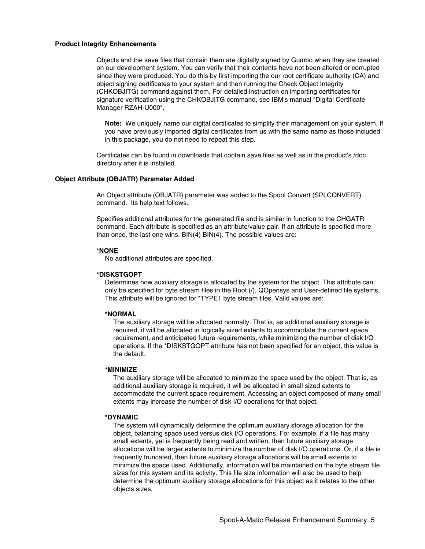#### **Product Integrity Enhancements**

Objects and the save files that contain them are digitally signed by Gumbo when they are created on our development system. You can verify that their contents have not been altered or corrupted since they were produced. You do this by first importing the our root certificate authority (CA) and object signing certificates to your system and then running the Check Object Integrity (CHKOBJITG) command against them. For detailed instruction on importing certificates for signature verification using the CHKOBJITG command, see IBM's manual "Digital Certificate Manager RZAH-U000".

**Note:** We uniquely name our digital certificates to simplify their management on your system. If you have previously imported digital certificates from us with the same name as those included in this package, you do not need to repeat this step.

Certificates can be found in downloads that contain save files as well as in the product's /doc directory after it is installed.

#### **Object Attribute (OBJATR) Parameter Added**

An Object attribute (OBJATR) parameter was added to the Spool Convert (SPLCONVERT) command. Its help text follows.

Specifies additional attributes for the generated file and is similar in function to the CHGATR command. Each attribute is specified as an attribute/value pair. If an attribute is specified more than once, the last one wins. BIN(4) BIN(4). The possible values are:

#### **\*NONE**

No additional attributes are specified.

#### **\*DISKSTGOPT**

Determines how auxiliary storage is allocated by the system for the object. This attribute can only be specified for byte stream files in the Root (/), QOpensys and User-defined file systems. This attribute will be ignored for \*TYPE1 byte stream files. Valid values are:

### **\*NORMAL**

The auxiliary storage will be allocated normally. That is, as additional auxiliary storage is required, it will be allocated in logically sized extents to accommodate the current space requirement, and anticipated future requirements, while minimizing the number of disk I/O operations. If the \*DISKSTGOPT attribute has not been specified for an object, this value is the default.

#### **\*MINIMIZE**

The auxiliary storage will be allocated to minimize the space used by the object. That is, as additional auxiliary storage is required, it will be allocated in small sized extents to accommodate the current space requirement. Accessing an object composed of many small extents may increase the number of disk I/O operations for that object.

#### **\*DYNAMIC**

The system will dynamically determine the optimum auxiliary storage allocation for the object, balancing space used versus disk I/O operations. For example, if a file has many small extents, yet is frequently being read and written, then future auxiliary storage allocations will be larger extents to minimize the number of disk I/O operations. Or, if a file is frequently truncated, then future auxiliary storage allocations will be small extents to minimize the space used. Additionally, information will be maintained on the byte stream file sizes for this system and its activity. This file size information will also be used to help determine the optimum auxiliary storage allocations for this object as it relates to the other objects sizes.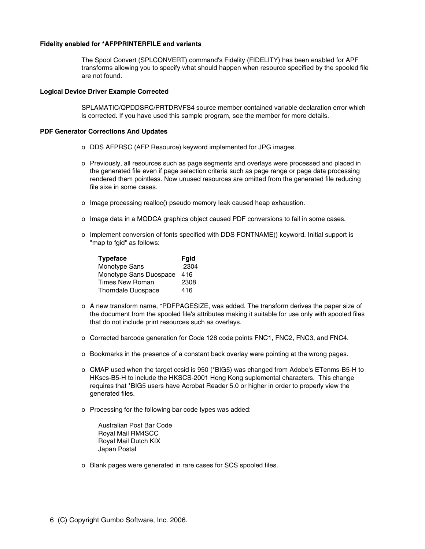# **Fidelity enabled for \*AFPPRINTERFILE and variants**

The Spool Convert (SPLCONVERT) command's Fidelity (FIDELITY) has been enabled for APF transforms allowing you to specify what should happen when resource specified by the spooled file are not found.

# **Logical Device Driver Example Corrected**

SPLAMATIC/QPDDSRC/PRTDRVFS4 source member contained variable declaration error which is corrected. If you have used this sample program, see the member for more details.

#### **PDF Generator Corrections And Updates**

- o DDS AFPRSC (AFP Resource) keyword implemented for JPG images.
- o Previously, all resources such as page segments and overlays were processed and placed in the generated file even if page selection criteria such as page range or page data processing rendered them pointless. Now unused resources are omitted from the generated file reducing file sixe in some cases.
- o Image processing realloc() pseudo memory leak caused heap exhaustion.
- o Image data in a MODCA graphics object caused PDF conversions to fail in some cases.
- o Implement conversion of fonts specified with DDS FONTNAME() keyword. Initial support is "map to fgid" as follows:

| <b>Typeface</b>           | <b>Fgid</b> |
|---------------------------|-------------|
| Monotype Sans             | 2304        |
| Monotype Sans Duospace    | 416         |
| <b>Times New Roman</b>    | 2308        |
| <b>Thorndale Duospace</b> | 416         |

- o A new transform name, \*PDFPAGESIZE, was added. The transform derives the paper size of the document from the spooled file's attributes making it suitable for use only with spooled files that do not include print resources such as overlays.
- o Corrected barcode generation for Code 128 code points FNC1, FNC2, FNC3, and FNC4.
- o Bookmarks in the presence of a constant back overlay were pointing at the wrong pages.
- o CMAP used when the target ccsid is 950 (\*BIG5) was changed from Adobe's ETenms-B5-H to HKscs-B5-H to include the HKSCS-2001 Hong Kong suplemental characters. This change requires that \*BIG5 users have Acrobat Reader 5.0 or higher in order to properly view the generated files.
- o Processing for the following bar code types was added:

Australian Post Bar Code Royal Mail RM4SCC Royal Mail Dutch KIX Japan Postal

o Blank pages were generated in rare cases for SCS spooled files.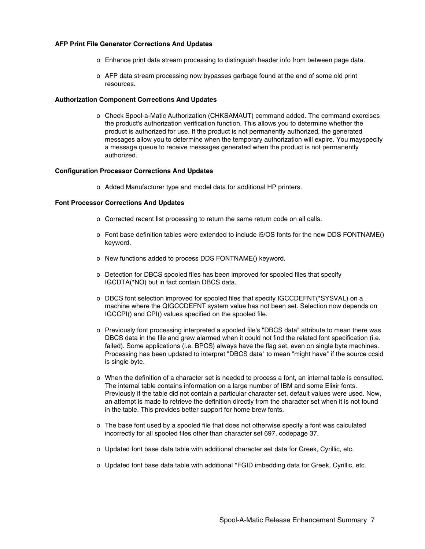# **AFP Print File Generator Corrections And Updates**

- o Enhance print data stream processing to distinguish header info from between page data.
- o AFP data stream processing now bypasses garbage found at the end of some old print resources.

#### **Authorization Component Corrections And Updates**

o Check Spool-a-Matic Authorization (CHKSAMAUT) command added. The command exercises the product's authorization verification function. This allows you to determine whether the product is authorized for use. If the product is not permanently authorized, the generated messages allow you to determine when the temporary authorization will expire. You mayspecify a message queue to receive messages generated when the product is not permanently authorized.

#### **Configuration Processor Corrections And Updates**

o Added Manufacturer type and model data for additional HP printers.

#### **Font Processor Corrections And Updates**

- o Corrected recent list processing to return the same return code on all calls.
- o Font base definition tables were extended to include i5/OS fonts for the new DDS FONTNAME() keyword.
- o New functions added to process DDS FONTNAME() keyword.
- o Detection for DBCS spooled files has been improved for spooled files that specify IGCDTA(\*NO) but in fact contain DBCS data.
- o DBCS font selection improved for spooled files that specify IGCCDEFNT(\*SYSVAL) on a machine where the QIGCCDEFNT system value has not been set. Selection now depends on IGCCPI() and CPI() values specified on the spooled file.
- o Previously font processing interpreted a spooled file's "DBCS data" attribute to mean there was DBCS data in the file and grew alarmed when it could not find the related font specification (i.e. failed). Some applications (i.e. BPCS) always have the flag set, even on single byte machines. Processing has been updated to interpret "DBCS data" to mean "might have" if the source ccsid is single byte.
- o When the definition of a character set is needed to process a font, an internal table is consulted. The internal table contains information on a large number of IBM and some Elixir fonts. Previously if the table did not contain a particular character set, default values were used. Now, an attempt is made to retrieve the definition directly from the character set when it is not found in the table. This provides better support for home brew fonts.
- o The base font used by a spooled file that does not otherwise specify a font was calculated incorrectly for all spooled files other than character set 697, codepage 37.
- o Updated font base data table with additional character set data for Greek, Cyrillic, etc.
- o Updated font base data table with additional \*FGID imbedding data for Greek, Cyrillic, etc.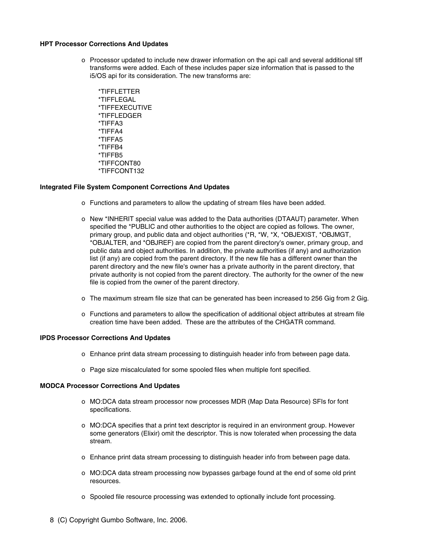#### **HPT Processor Corrections And Updates**

- o Processor updated to include new drawer information on the api call and several additional tiff transforms were added. Each of these includes paper size information that is passed to the i5/OS api for its consideration. The new transforms are:
	- \*TIFFLETTER \*TIFFLEGAL \*TIFFEXECUTIVE \*TIFFLEDGER \*TIFFA3 \*TIFFA4 \*TIFFA5 \*TIFFB4 \*TIFFB5 \*TIFFCONT80 \*TIFFCONT132

# **Integrated File System Component Corrections And Updates**

- o Functions and parameters to allow the updating of stream files have been added.
- o New \*INHERIT special value was added to the Data authorities (DTAAUT) parameter. When specified the \*PUBLIC and other authorities to the object are copied as follows. The owner, primary group, and public data and object authorities (\*R, \*W, \*X, \*OBJEXIST, \*OBJMGT, \*OBJALTER, and \*OBJREF) are copied from the parent directory's owner, primary group, and public data and object authorities. In addition, the private authorities (if any) and authorization list (if any) are copied from the parent directory. If the new file has a different owner than the parent directory and the new file's owner has a private authority in the parent directory, that private authority is not copied from the parent directory. The authority for the owner of the new file is copied from the owner of the parent directory.
- o The maximum stream file size that can be generated has been increased to 256 Gig from 2 Gig.
- o Functions and parameters to allow the specification of additional object attributes at stream file creation time have been added. These are the attributes of the CHGATR command.

#### **IPDS Processor Corrections And Updates**

- o Enhance print data stream processing to distinguish header info from between page data.
- o Page size miscalculated for some spooled files when multiple font specified.

#### **MODCA Processor Corrections And Updates**

- o MO:DCA data stream processor now processes MDR (Map Data Resource) SFIs for font specifications.
- o MO:DCA specifies that a print text descriptor is required in an environment group. However some generators (Elixir) omit the descriptor. This is now tolerated when processing the data stream.
- o Enhance print data stream processing to distinguish header info from between page data.
- o MO:DCA data stream processing now bypasses garbage found at the end of some old print resources.
- o Spooled file resource processing was extended to optionally include font processing.
- 8 (C) Copyright Gumbo Software, Inc. 2006.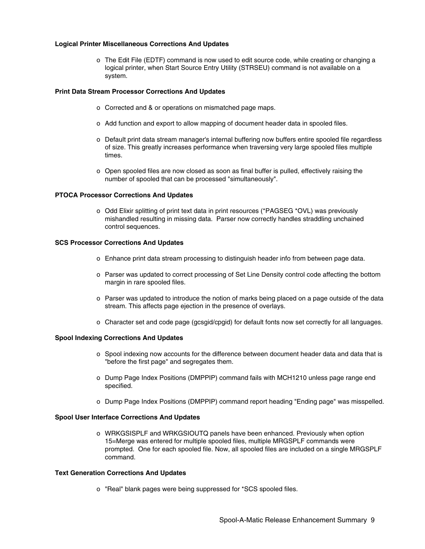## **Logical Printer Miscellaneous Corrections And Updates**

o The Edit File (EDTF) command is now used to edit source code, while creating or changing a logical printer, when Start Source Entry Utility (STRSEU) command is not available on a system.

# **Print Data Stream Processor Corrections And Updates**

- o Corrected and & or operations on mismatched page maps.
- o Add function and export to allow mapping of document header data in spooled files.
- o Default print data stream manager's internal buffering now buffers entire spooled file regardless of size. This greatly increases performance when traversing very large spooled files multiple times.
- o Open spooled files are now closed as soon as final buffer is pulled, effectively raising the number of spooled that can be processed "simultaneously".

## **PTOCA Processor Corrections And Updates**

o Odd Elixir splitting of print text data in print resources (\*PAGSEG \*OVL) was previously mishandled resulting in missing data. Parser now correctly handles straddling unchained control sequences.

# **SCS Processor Corrections And Updates**

- o Enhance print data stream processing to distinguish header info from between page data.
- o Parser was updated to correct processing of Set Line Density control code affecting the bottom margin in rare spooled files.
- o Parser was updated to introduce the notion of marks being placed on a page outside of the data stream. This affects page ejection in the presence of overlays.
- o Character set and code page (gcsgid/cpgid) for default fonts now set correctly for all languages.

#### **Spool Indexing Corrections And Updates**

- o Spool indexing now accounts for the difference between document header data and data that is "before the first page" and segregates them.
- o Dump Page Index Positions (DMPPIP) command fails with MCH1210 unless page range end specified.
- o Dump Page Index Positions (DMPPIP) command report heading "Ending page" was misspelled.

#### **Spool User Interface Corrections And Updates**

o WRKGSISPLF and WRKGSIOUTQ panels have been enhanced. Previously when option 15=Merge was entered for multiple spooled files, multiple MRGSPLF commands were prompted. One for each spooled file. Now, all spooled files are included on a single MRGSPLF command.

# **Text Generation Corrections And Updates**

o "Real" blank pages were being suppressed for \*SCS spooled files.